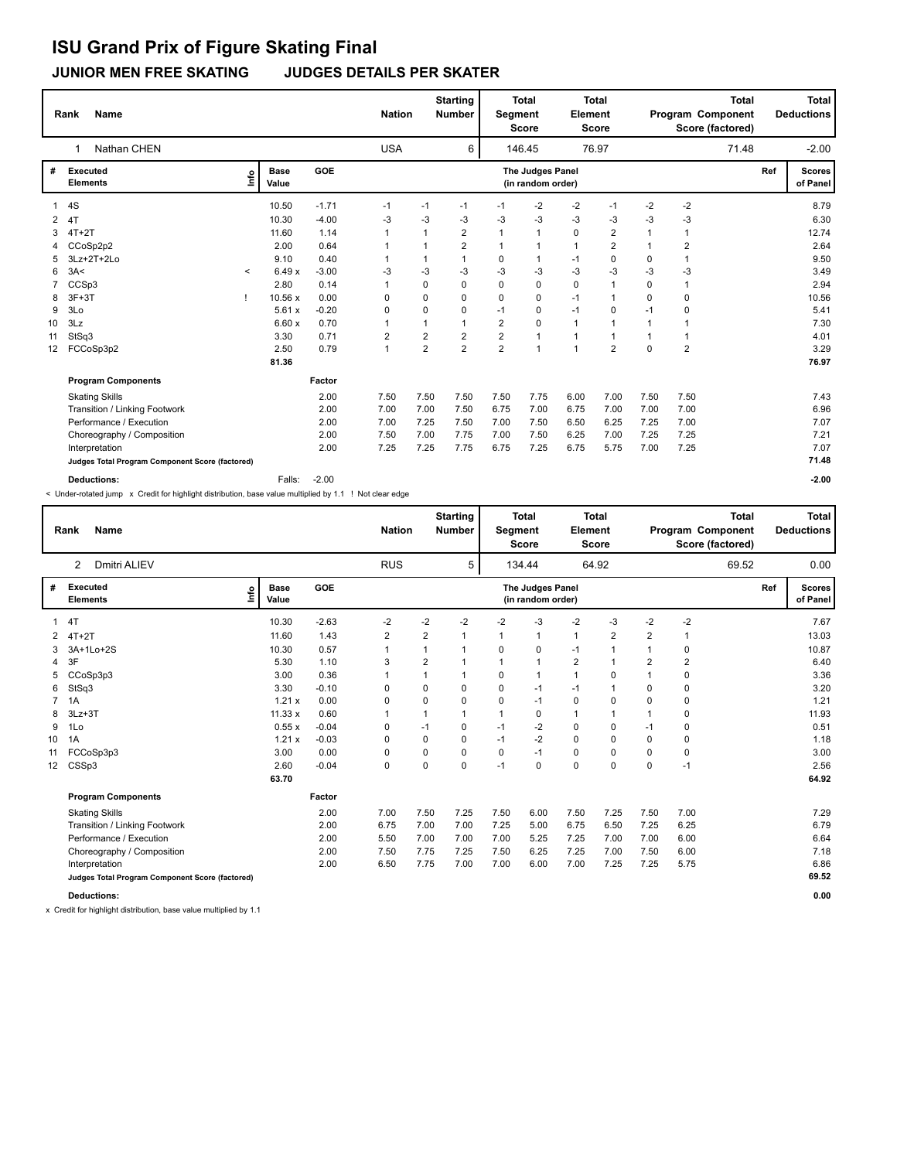# **ISU Grand Prix of Figure Skating Final**

**JUNIOR MEN FREE SKATING JUDGES DETAILS PER SKATER**

|    | <b>Name</b><br>Rank                             |         |                      |         | <b>Nation</b>  |                | <b>Starting</b><br><b>Number</b> | <b>Total</b><br><b>Segment</b><br><b>Score</b> |                                       | <b>Total</b><br>Element<br><b>Score</b> |                |              | Program Component<br>Score (factored) | <b>Total</b> |     | <b>Total</b><br><b>Deductions</b> |
|----|-------------------------------------------------|---------|----------------------|---------|----------------|----------------|----------------------------------|------------------------------------------------|---------------------------------------|-----------------------------------------|----------------|--------------|---------------------------------------|--------------|-----|-----------------------------------|
|    | Nathan CHEN<br>1                                |         |                      |         | <b>USA</b>     |                | 6                                |                                                | 146.45                                |                                         | 76.97          |              |                                       | 71.48        |     | $-2.00$                           |
| #  | Executed<br><b>Elements</b>                     | ١m      | <b>Base</b><br>Value | GOE     |                |                |                                  |                                                | The Judges Panel<br>(in random order) |                                         |                |              |                                       |              | Ref | <b>Scores</b><br>of Panel         |
|    | 4S                                              |         | 10.50                | $-1.71$ | $-1$           | $-1$           | $-1$                             | -1                                             | $-2$                                  | $-2$                                    | $-1$           | $-2$         | $-2$                                  |              |     | 8.79                              |
| 2  | 4T                                              |         | 10.30                | $-4.00$ | $-3$           | -3             | -3                               | -3                                             | -3                                    | $-3$                                    | -3             | -3           | -3                                    |              |     | 6.30                              |
| 3  | $4T+2T$                                         |         | 11.60                | 1.14    |                | $\mathbf 1$    | 2                                | $\mathbf 1$                                    | $\mathbf{1}$                          | 0                                       | 2              | -1           | $\mathbf 1$                           |              |     | 12.74                             |
|    | CCoSp2p2                                        |         | 2.00                 | 0.64    |                |                | $\overline{2}$                   | $\mathbf{1}$                                   | $\mathbf{1}$                          | $\mathbf{1}$                            | $\overline{2}$ | $\mathbf{1}$ | $\overline{2}$                        |              |     | 2.64                              |
| 5  | 3Lz+2T+2Lo                                      |         | 9.10                 | 0.40    |                |                |                                  | 0                                              | $\mathbf{1}$                          | $-1$                                    | $\mathbf 0$    | $\Omega$     | $\overline{1}$                        |              |     | 9.50                              |
| 6  | 3A<                                             | $\prec$ | 6.49x                | $-3.00$ | -3             | $-3$           | $-3$                             | -3                                             | $-3$                                  | $-3$                                    | $-3$           | $-3$         | $-3$                                  |              |     | 3.49                              |
|    | CCSp3                                           |         | 2.80                 | 0.14    | 1              | $\mathbf 0$    | $\Omega$                         | 0                                              | $\mathbf 0$                           | $\mathbf 0$                             | $\overline{1}$ | 0            | $\overline{1}$                        |              |     | 2.94                              |
| 8  | $3F+3T$                                         |         | 10.56 x              | 0.00    | 0              | $\Omega$       | $\Omega$                         | 0                                              | 0                                     | $-1$                                    | $\overline{1}$ | $\Omega$     | 0                                     |              |     | 10.56                             |
| 9  | 3Lo                                             |         | 5.61x                | $-0.20$ | 0              | 0              | $\Omega$                         | $-1$                                           | 0                                     | $-1$                                    | 0              | $-1$         | 0                                     |              |     | 5.41                              |
| 10 | 3Lz                                             |         | 6.60x                | 0.70    | 1              |                | $\mathbf 1$                      | $\overline{2}$                                 | $\Omega$                              | $\mathbf{1}$                            | $\overline{1}$ | $\mathbf{1}$ | $\mathbf 1$                           |              |     | 7.30                              |
| 11 | StSq3                                           |         | 3.30                 | 0.71    | $\overline{2}$ | $\overline{2}$ | $\overline{2}$                   | $\overline{2}$                                 | $\mathbf{1}$                          | $\mathbf{1}$                            | $\overline{1}$ |              | $\overline{1}$                        |              |     | 4.01                              |
| 12 | FCCoSp3p2                                       |         | 2.50                 | 0.79    | 1              | $\overline{2}$ | $\overline{2}$                   | $\overline{2}$                                 | $\overline{1}$                        | $\mathbf{1}$                            | $\overline{2}$ | $\Omega$     | $\overline{2}$                        |              |     | 3.29                              |
|    |                                                 |         | 81.36                |         |                |                |                                  |                                                |                                       |                                         |                |              |                                       |              |     | 76.97                             |
|    | <b>Program Components</b>                       |         |                      | Factor  |                |                |                                  |                                                |                                       |                                         |                |              |                                       |              |     |                                   |
|    | <b>Skating Skills</b>                           |         |                      | 2.00    | 7.50           | 7.50           | 7.50                             | 7.50                                           | 7.75                                  | 6.00                                    | 7.00           | 7.50         | 7.50                                  |              |     | 7.43                              |
|    | Transition / Linking Footwork                   |         |                      | 2.00    | 7.00           | 7.00           | 7.50                             | 6.75                                           | 7.00                                  | 6.75                                    | 7.00           | 7.00         | 7.00                                  |              |     | 6.96                              |
|    | Performance / Execution                         |         |                      | 2.00    | 7.00           | 7.25           | 7.50                             | 7.00                                           | 7.50                                  | 6.50                                    | 6.25           | 7.25         | 7.00                                  |              |     | 7.07                              |
|    | Choreography / Composition                      |         |                      | 2.00    | 7.50           | 7.00           | 7.75                             | 7.00                                           | 7.50                                  | 6.25                                    | 7.00           | 7.25         | 7.25                                  |              |     | 7.21                              |
|    | Interpretation                                  |         |                      | 2.00    | 7.25           | 7.25           | 7.75                             | 6.75                                           | 7.25                                  | 6.75                                    | 5.75           | 7.00         | 7.25                                  |              |     | 7.07                              |
|    | Judges Total Program Component Score (factored) |         |                      |         |                |                |                                  |                                                |                                       |                                         |                |              |                                       |              |     | 71.48                             |
|    | <b>Deductions:</b>                              |         | Falls:               | $-2.00$ |                |                |                                  |                                                |                                       |                                         |                |              |                                       |              |     | $-2.00$                           |

< Under-rotated jump x Credit for highlight distribution, base value multiplied by 1.1 ! Not clear edge

|                  | <b>Name</b><br>Rank                             |                      |         | <b>Nation</b>  |              | <b>Starting</b><br><b>Number</b> | Segment | <b>Total</b><br><b>Score</b>          | Element        | <b>Total</b><br><b>Score</b> |          | Program Component | <b>Total</b><br>Score (factored) |     | <b>Total</b><br><b>Deductions</b> |
|------------------|-------------------------------------------------|----------------------|---------|----------------|--------------|----------------------------------|---------|---------------------------------------|----------------|------------------------------|----------|-------------------|----------------------------------|-----|-----------------------------------|
|                  | Dmitri ALIEV<br>2                               |                      |         | <b>RUS</b>     |              | 5                                |         | 134.44                                |                | 64.92                        |          |                   | 69.52                            |     | 0.00                              |
| #                | <b>Executed</b><br>lnfo<br><b>Elements</b>      | <b>Base</b><br>Value | GOE     |                |              |                                  |         | The Judges Panel<br>(in random order) |                |                              |          |                   |                                  | Ref | <b>Scores</b><br>of Panel         |
| 1                | 4T                                              | 10.30                | $-2.63$ | -2             | $-2$         | -2                               | -2      | -3                                    | $-2$           | $-3$                         | -2       | $-2$              |                                  |     | 7.67                              |
| 2                | $4T+2T$                                         | 11.60                | 1.43    | $\overline{2}$ | 2            | 1                                |         | $\overline{1}$                        | 1              | $\overline{2}$               | 2        | 1                 |                                  |     | 13.03                             |
| 3                | 3A+1Lo+2S                                       | 10.30                | 0.57    | $\mathbf{1}$   | $\mathbf{1}$ | $\mathbf 1$                      | 0       | $\mathbf 0$                           | $-1$           | 1                            | 1        | 0                 |                                  |     | 10.87                             |
| 4                | 3F                                              | 5.30                 | 1.10    | 3              | 2            |                                  |         | $\mathbf{1}$                          | 2              | 1                            | 2        | 2                 |                                  |     | 6.40                              |
| 5                | CCoSp3p3                                        | 3.00                 | 0.36    | -1             | 1            |                                  | 0       | $\mathbf{1}$                          | $\overline{1}$ | 0                            |          | 0                 |                                  |     | 3.36                              |
| 6                | StSq3                                           | 3.30                 | $-0.10$ | 0              | 0            | 0                                | 0       | $-1$                                  | $-1$           | 1                            | 0        | 0                 |                                  |     | 3.20                              |
| 7                | 1A                                              | 1.21x                | 0.00    | $\Omega$       | $\Omega$     | $\Omega$                         | 0       | $-1$                                  | 0              | 0                            | 0        | 0                 |                                  |     | 1.21                              |
| 8                | $3Lz + 3T$                                      | 11.33x               | 0.60    | 1              | 1            |                                  |         | 0                                     | 1              | 1                            |          | 0                 |                                  |     | 11.93                             |
| 9                | 1Lo                                             | 0.55x                | $-0.04$ | 0              | $-1$         | $\Omega$                         | $-1$    | $-2$                                  | 0              | 0                            | $-1$     | 0                 |                                  |     | 0.51                              |
| 10               | 1A                                              | 1.21x                | $-0.03$ | $\Omega$       | $\Omega$     | $\Omega$                         | $-1$    | $-2$                                  | 0              | 0                            | 0        | 0                 |                                  |     | 1.18                              |
| 11               | FCCoSp3p3                                       | 3.00                 | 0.00    | 0              | 0            | 0                                | 0       | $-1$                                  | 0              | 0                            | 0        | 0                 |                                  |     | 3.00                              |
| 12 <sup>12</sup> | CSSp3                                           | 2.60                 | $-0.04$ | 0              | $\Omega$     | $\Omega$                         | $-1$    | $\mathbf 0$                           | 0              | 0                            | $\Omega$ | $-1$              |                                  |     | 2.56                              |
|                  |                                                 | 63.70                |         |                |              |                                  |         |                                       |                |                              |          |                   |                                  |     | 64.92                             |
|                  | <b>Program Components</b>                       |                      | Factor  |                |              |                                  |         |                                       |                |                              |          |                   |                                  |     |                                   |
|                  | <b>Skating Skills</b>                           |                      | 2.00    | 7.00           | 7.50         | 7.25                             | 7.50    | 6.00                                  | 7.50           | 7.25                         | 7.50     | 7.00              |                                  |     | 7.29                              |
|                  | Transition / Linking Footwork                   |                      | 2.00    | 6.75           | 7.00         | 7.00                             | 7.25    | 5.00                                  | 6.75           | 6.50                         | 7.25     | 6.25              |                                  |     | 6.79                              |
|                  | Performance / Execution                         |                      | 2.00    | 5.50           | 7.00         | 7.00                             | 7.00    | 5.25                                  | 7.25           | 7.00                         | 7.00     | 6.00              |                                  |     | 6.64                              |
|                  | Choreography / Composition                      |                      | 2.00    | 7.50           | 7.75         | 7.25                             | 7.50    | 6.25                                  | 7.25           | 7.00                         | 7.50     | 6.00              |                                  |     | 7.18                              |
|                  | Interpretation                                  |                      | 2.00    | 6.50           | 7.75         | 7.00                             | 7.00    | 6.00                                  | 7.00           | 7.25                         | 7.25     | 5.75              |                                  |     | 6.86                              |
|                  | Judges Total Program Component Score (factored) |                      |         |                |              |                                  |         |                                       |                |                              |          |                   |                                  |     | 69.52                             |
|                  | <b>Deductions:</b>                              |                      |         |                |              |                                  |         |                                       |                |                              |          |                   |                                  |     | 0.00                              |

x Credit for highlight distribution, base value multiplied by 1.1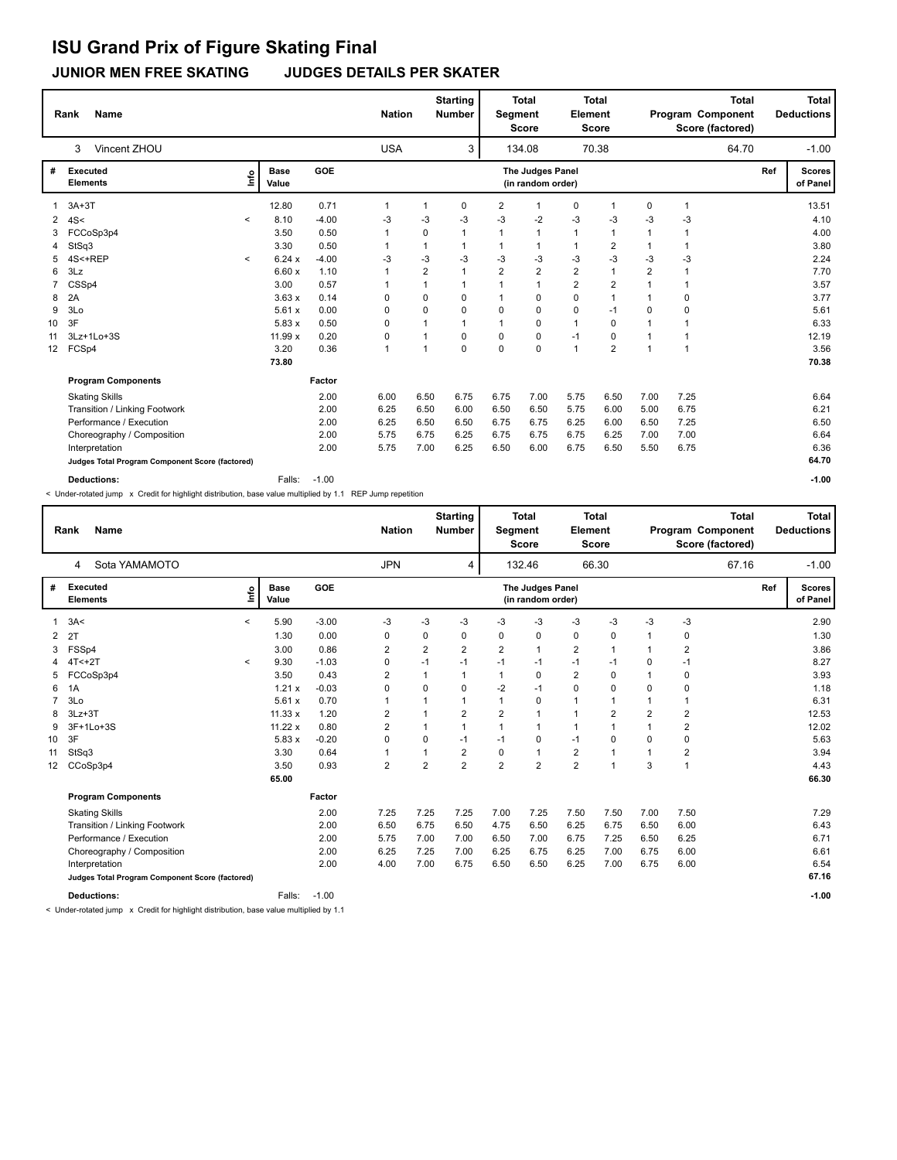# **ISU Grand Prix of Figure Skating Final**

**JUNIOR MEN FREE SKATING JUDGES DETAILS PER SKATER**

|                   | <b>Name</b><br>Rank                             |                          |                      |         | <b>Nation</b> |                | <b>Starting</b><br><b>Number</b> | Segment        | <b>Total</b><br><b>Score</b>          | Element        | <b>Total</b><br><b>Score</b> |                | Program Component | <b>Total</b><br>Score (factored) |     | <b>Total</b><br><b>Deductions</b> |
|-------------------|-------------------------------------------------|--------------------------|----------------------|---------|---------------|----------------|----------------------------------|----------------|---------------------------------------|----------------|------------------------------|----------------|-------------------|----------------------------------|-----|-----------------------------------|
|                   | Vincent ZHOU<br>3                               |                          |                      |         | <b>USA</b>    |                | 3                                |                | 134.08                                |                | 70.38                        |                |                   | 64.70                            |     | $-1.00$                           |
| #                 | <b>Executed</b><br><b>Elements</b>              | ١mfo                     | <b>Base</b><br>Value | GOE     |               |                |                                  |                | The Judges Panel<br>(in random order) |                |                              |                |                   |                                  | Ref | <b>Scores</b><br>of Panel         |
|                   | $3A+3T$                                         |                          | 12.80                | 0.71    | $\mathbf{1}$  | $\mathbf{1}$   | 0                                | 2              | $\mathbf 1$                           | 0              | 1                            | 0              | $\mathbf{1}$      |                                  |     | 13.51                             |
| 2                 | 4S<                                             | $\,<\,$                  | 8.10                 | $-4.00$ | $-3$          | $-3$           | $-3$                             | $-3$           | $-2$                                  | $-3$           | -3                           | -3             | $-3$              |                                  |     | 4.10                              |
| 3                 | FCCoSp3p4                                       |                          | 3.50                 | 0.50    | $\mathbf{1}$  | 0              | 1                                | 1              | 1                                     | $\mathbf{1}$   | 1                            | 1              | $\overline{1}$    |                                  |     | 4.00                              |
|                   | StSq3                                           |                          | 3.30                 | 0.50    | $\mathbf{1}$  | 1              | 1                                | $\mathbf{1}$   | 1                                     | $\mathbf{1}$   | 2                            | $\mathbf{1}$   | $\mathbf{1}$      |                                  |     | 3.80                              |
| 5.                | 4S<+REP                                         | $\overline{\phantom{a}}$ | 6.24x                | $-4.00$ | $-3$          | $-3$           | -3                               | -3             | $-3$                                  | $-3$           | $-3$                         | -3             | $-3$              |                                  |     | 2.24                              |
| 6                 | 3Lz                                             |                          | 6.60x                | 1.10    | $\mathbf{1}$  | $\overline{2}$ | $\mathbf{1}$                     | $\overline{2}$ | $\overline{2}$                        | $\overline{2}$ | 1                            | $\overline{2}$ | $\mathbf{1}$      |                                  |     | 7.70                              |
|                   | CSSp4                                           |                          | 3.00                 | 0.57    | 1             | 1              | 1                                | 1              | $\mathbf{1}$                          | $\overline{2}$ | $\overline{2}$               | $\mathbf{1}$   | $\mathbf{1}$      |                                  |     | 3.57                              |
| 8                 | 2A                                              |                          | 3.63x                | 0.14    | 0             | 0              | 0                                | 1              | $\mathbf 0$                           | $\mathbf 0$    | $\overline{1}$               | 1              | $\mathbf 0$       |                                  |     | 3.77                              |
| 9                 | 3Lo                                             |                          | 5.61x                | 0.00    | 0             | $\Omega$       | 0                                | $\Omega$       | $\Omega$                              | $\mathbf 0$    | $-1$                         | 0              | $\mathbf 0$       |                                  |     | 5.61                              |
| 10                | 3F                                              |                          | 5.83x                | 0.50    | 0             | $\mathbf{1}$   | 1                                | $\mathbf{1}$   | $\mathbf 0$                           | $\mathbf{1}$   | $\mathbf 0$                  | $\overline{1}$ | $\mathbf{1}$      |                                  |     | 6.33                              |
| 11                | 3Lz+1Lo+3S                                      |                          | 11.99 x              | 0.20    | 0             | $\mathbf{1}$   | 0                                | $\mathbf 0$    | $\mathbf 0$                           | $-1$           | $\mathbf 0$                  | $\mathbf{1}$   | $\mathbf{1}$      |                                  |     | 12.19                             |
| $12 \overline{ }$ | FCSp4                                           |                          | 3.20                 | 0.36    | $\mathbf{1}$  | 1              | $\Omega$                         | $\Omega$       | $\Omega$                              | $\mathbf{1}$   | $\overline{2}$               | $\mathbf{1}$   | $\overline{1}$    |                                  |     | 3.56                              |
|                   |                                                 |                          | 73.80                |         |               |                |                                  |                |                                       |                |                              |                |                   |                                  |     | 70.38                             |
|                   | <b>Program Components</b>                       |                          |                      | Factor  |               |                |                                  |                |                                       |                |                              |                |                   |                                  |     |                                   |
|                   | <b>Skating Skills</b>                           |                          |                      | 2.00    | 6.00          | 6.50           | 6.75                             | 6.75           | 7.00                                  | 5.75           | 6.50                         | 7.00           | 7.25              |                                  |     | 6.64                              |
|                   | Transition / Linking Footwork                   |                          |                      | 2.00    | 6.25          | 6.50           | 6.00                             | 6.50           | 6.50                                  | 5.75           | 6.00                         | 5.00           | 6.75              |                                  |     | 6.21                              |
|                   | Performance / Execution                         |                          |                      | 2.00    | 6.25          | 6.50           | 6.50                             | 6.75           | 6.75                                  | 6.25           | 6.00                         | 6.50           | 7.25              |                                  |     | 6.50                              |
|                   | Choreography / Composition                      |                          |                      | 2.00    | 5.75          | 6.75           | 6.25                             | 6.75           | 6.75                                  | 6.75           | 6.25                         | 7.00           | 7.00              |                                  |     | 6.64                              |
|                   | Interpretation                                  |                          |                      | 2.00    | 5.75          | 7.00           | 6.25                             | 6.50           | 6.00                                  | 6.75           | 6.50                         | 5.50           | 6.75              |                                  |     | 6.36                              |
|                   | Judges Total Program Component Score (factored) |                          |                      |         |               |                |                                  |                |                                       |                |                              |                |                   |                                  |     | 64.70                             |
|                   | <b>Deductions:</b>                              |                          | Falls:               | $-1.00$ |               |                |                                  |                |                                       |                |                              |                |                   |                                  |     | $-1.00$                           |

< Under-rotated jump x Credit for highlight distribution, base value multiplied by 1.1 REP Jump repetition

|                 | <b>Name</b><br>Rank                             |                          |                      |         |                | <b>Starting</b><br><b>Nation</b><br><b>Number</b> |                |                | <b>Total</b><br><b>Total</b><br>Element<br>Segment<br><b>Score</b><br><b>Score</b> |                         |                | <b>Total</b><br>Program Component<br>Score (factored) |                         |       |     | <b>Total</b><br><b>Deductions</b> |
|-----------------|-------------------------------------------------|--------------------------|----------------------|---------|----------------|---------------------------------------------------|----------------|----------------|------------------------------------------------------------------------------------|-------------------------|----------------|-------------------------------------------------------|-------------------------|-------|-----|-----------------------------------|
|                 | Sota YAMAMOTO<br>4                              |                          |                      |         | <b>JPN</b>     |                                                   | 4              |                | 132.46                                                                             |                         | 66.30          |                                                       |                         | 67.16 |     | $-1.00$                           |
| #               | <b>Executed</b><br><b>Elements</b>              | Info                     | <b>Base</b><br>Value | GOE     |                |                                                   |                |                | The Judges Panel<br>(in random order)                                              |                         |                |                                                       |                         |       | Ref | <b>Scores</b><br>of Panel         |
| $\mathbf{1}$    | 3A<                                             | $\overline{\phantom{0}}$ | 5.90                 | $-3.00$ | $-3$           | $-3$                                              | $-3$           | $-3$           | $-3$                                                                               | $-3$                    | $-3$           | $-3$                                                  | $-3$                    |       |     | 2.90                              |
| 2               | 2T                                              |                          | 1.30                 | 0.00    | 0              | 0                                                 | 0              | 0              | 0                                                                                  | 0                       | 0              | 1                                                     | 0                       |       |     | 1.30                              |
| 3               | FSSp4                                           |                          | 3.00                 | 0.86    | $\overline{2}$ | $\overline{2}$                                    | $\overline{2}$ | $\overline{2}$ | $\mathbf{1}$                                                                       | $\overline{\mathbf{c}}$ | 1              | 1                                                     | $\overline{2}$          |       |     | 3.86                              |
|                 | $4T<+2T$                                        | $\hat{}$                 | 9.30                 | $-1.03$ | $\mathbf 0$    | $-1$                                              | $-1$           | $-1$           | $-1$                                                                               | $-1$                    | $-1$           | 0                                                     | $-1$                    |       |     | 8.27                              |
| 5               | FCCoSp3p4                                       |                          | 3.50                 | 0.43    | $\overline{2}$ |                                                   |                | 1              | $\mathbf 0$                                                                        | $\overline{2}$          | 0              | 1                                                     | 0                       |       |     | 3.93                              |
| 6               | 1A                                              |                          | 1.21x                | $-0.03$ | 0              | $\Omega$                                          | 0              | $-2$           | $-1$                                                                               | 0                       | 0              | 0                                                     | 0                       |       |     | 1.18                              |
| 7               | 3Lo                                             |                          | 5.61x                | 0.70    | 1              |                                                   |                | 1              | 0                                                                                  | 1                       | 1              | 1                                                     | 1                       |       |     | 6.31                              |
| 8               | $3Lz + 3T$                                      |                          | 11.33 x              | 1.20    | 2              |                                                   | $\overline{2}$ | $\overline{2}$ | $\mathbf{1}$                                                                       | $\mathbf{1}$            | $\overline{2}$ | $\overline{2}$                                        | $\overline{2}$          |       |     | 12.53                             |
| 9               | 3F+1Lo+3S                                       |                          | 11.22x               | 0.80    | $\overline{2}$ | 1                                                 | 1              | $\mathbf{1}$   | 1                                                                                  | $\mathbf{1}$            | $\mathbf{1}$   | 1                                                     | $\overline{\mathbf{c}}$ |       |     | 12.02                             |
| 10              | 3F                                              |                          | 5.83x                | $-0.20$ | 0              | $\Omega$                                          | $-1$           | $-1$           | 0                                                                                  | $-1$                    | $\Omega$       | 0                                                     | 0                       |       |     | 5.63                              |
| 11              | StSq3                                           |                          | 3.30                 | 0.64    | 1              | 1                                                 | $\overline{2}$ | 0              | $\mathbf{1}$                                                                       | $\overline{2}$          | $\mathbf 1$    | 1                                                     | 2                       |       |     | 3.94                              |
| 12 <sup>2</sup> | CCoSp3p4                                        |                          | 3.50                 | 0.93    | $\overline{2}$ | $\overline{2}$                                    | $\overline{2}$ | $\overline{2}$ | $\overline{2}$                                                                     | $\overline{2}$          | $\mathbf{1}$   | 3                                                     | $\mathbf{1}$            |       |     | 4.43                              |
|                 |                                                 |                          | 65.00                |         |                |                                                   |                |                |                                                                                    |                         |                |                                                       |                         |       |     | 66.30                             |
|                 | <b>Program Components</b>                       |                          |                      | Factor  |                |                                                   |                |                |                                                                                    |                         |                |                                                       |                         |       |     |                                   |
|                 | <b>Skating Skills</b>                           |                          |                      | 2.00    | 7.25           | 7.25                                              | 7.25           | 7.00           | 7.25                                                                               | 7.50                    | 7.50           | 7.00                                                  | 7.50                    |       |     | 7.29                              |
|                 | Transition / Linking Footwork                   |                          |                      | 2.00    | 6.50           | 6.75                                              | 6.50           | 4.75           | 6.50                                                                               | 6.25                    | 6.75           | 6.50                                                  | 6.00                    |       |     | 6.43                              |
|                 | Performance / Execution                         |                          |                      | 2.00    | 5.75           | 7.00                                              | 7.00           | 6.50           | 7.00                                                                               | 6.75                    | 7.25           | 6.50                                                  | 6.25                    |       |     | 6.71                              |
|                 | Choreography / Composition                      |                          |                      | 2.00    | 6.25           | 7.25                                              | 7.00           | 6.25           | 6.75                                                                               | 6.25                    | 7.00           | 6.75                                                  | 6.00                    |       |     | 6.61                              |
|                 | Interpretation                                  |                          |                      | 2.00    | 4.00           | 7.00                                              | 6.75           | 6.50           | 6.50                                                                               | 6.25                    | 7.00           | 6.75                                                  | 6.00                    |       |     | 6.54                              |
|                 | Judges Total Program Component Score (factored) |                          |                      |         |                |                                                   |                |                |                                                                                    |                         |                |                                                       |                         |       |     | 67.16                             |
|                 | <b>Deductions:</b>                              |                          | Falls:               | $-1.00$ |                |                                                   |                |                |                                                                                    |                         |                |                                                       |                         |       |     | $-1.00$                           |

< Under-rotated jump x Credit for highlight distribution, base value multiplied by 1.1